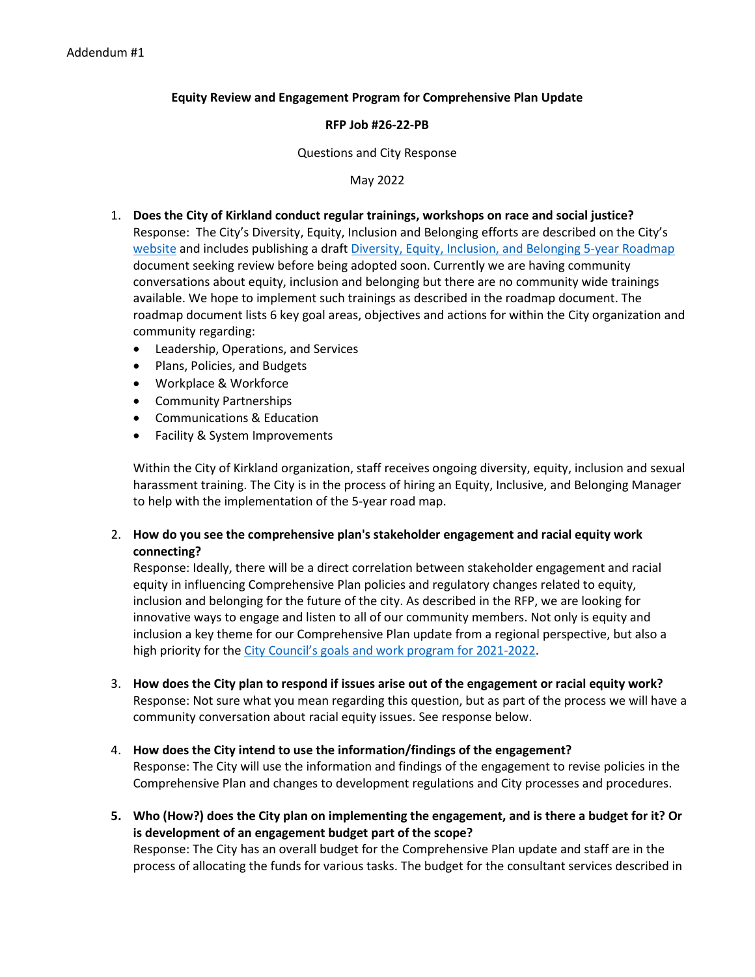# **Equity Review and Engagement Program for Comprehensive Plan Update**

# **RFP Job #26-22-PB**

#### Questions and City Response

## May 2022

- 1. **Does the City of Kirkland conduct regular trainings, workshops on race and social justice?**
	- Response: The City's Diversity, Equity, Inclusion and Belonging efforts are described on the City's [website](https://www.kirklandwa.gov/Government/City-Managers-Office/Diversity-Equity-Inclusion-and-Belonging) and includes publishing a draft [Diversity, Equity, Inclusion, and Belonging 5-year Roadmap](https://www.kirklandwa.gov/files/sharedassets/public/city-managers-office/pdfs/draft-diversity-equity-inclusion-and-belonging-roadmap.pdf) document seeking review before being adopted soon. Currently we are having community conversations about equity, inclusion and belonging but there are no community wide trainings available. We hope to implement such trainings as described in the roadmap document. The roadmap document lists 6 key goal areas, objectives and actions for within the City organization and community regarding:
		- Leadership, Operations, and Services
		- Plans, Policies, and Budgets
		- Workplace & Workforce
		- Community Partnerships
		- Communications & Education
		- Facility & System Improvements

Within the City of Kirkland organization, staff receives ongoing diversity, equity, inclusion and sexual harassment training. The City is in the process of hiring an Equity, Inclusive, and Belonging Manager to help with the implementation of the 5-year road map.

2. **How do you see the comprehensive plan's stakeholder engagement and racial equity work connecting?**

Response: Ideally, there will be a direct correlation between stakeholder engagement and racial equity in influencing Comprehensive Plan policies and regulatory changes related to equity, inclusion and belonging for the future of the city. As described in the RFP, we are looking for innovative ways to engage and listen to all of our community members. Not only is equity and inclusion a key theme for our Comprehensive Plan update from a regional perspective, but also a high priority for the [City Council's goals and work program for 2021-2022.](https://www.kirklandwa.gov/Government/City-Council/City-Work-Program)

- 3. **How does the City plan to respond if issues arise out of the engagement or racial equity work?** Response: Not sure what you mean regarding this question, but as part of the process we will have a community conversation about racial equity issues. See response below.
- 4. **How does the City intend to use the information/findings of the engagement?** Response: The City will use the information and findings of the engagement to revise policies in the Comprehensive Plan and changes to development regulations and City processes and procedures.
- **5. Who (How?) does the City plan on implementing the engagement, and is there a budget for it? Or is development of an engagement budget part of the scope?** Response: The City has an overall budget for the Comprehensive Plan update and staff are in the process of allocating the funds for various tasks. The budget for the consultant services described in